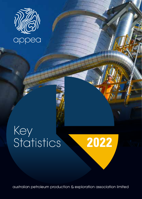

# Key Statistics **2022**



australian petroleum production & exploration association limited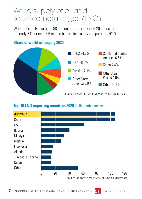## World supply of oil and liquefied natural gas (LNG)

World oil supply averaged 88 million barrels a day in 2020, a decline of nearly 7%, or over 6.5 million barrels less a day compared to 2019.



#### **Share of world oil supply 2020**

#### **Top 10 LNG exporting countries 2020** (billion cubic metres)



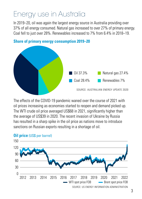# Energy use in Australia

In 2019–20, oil was again the largest energy source in Australia providing over 37% of all energy consumed. Natural gas increased to over 27% of primary energy. Coal fell to just over 28%. Renewables increased to 7% from 6.4% in 2018–19.



### **Share of primary energy consumption 2019–20**

The effects of the COVID-19 pandemic waned over the course of 2021 with oil prices increasing as economies started to reopen and demand picked up. The WTI crude oil price averaged US\$68 in 2021, significantly higher than the average of US\$39 in 2020. The recent invasion of Ukraine by Russia has resulted in a sharp spike in the oil price as nations move to introduce sanctions on Russian exports resulting in a shortage of oil.



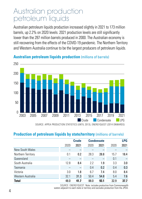### Australian production petroleum liquids

Australian petroleum liquids production increased slightly in 2021 to 173 million barrels, up 2.2% on 2020 levels. 2021 production levels are still significantly lower than the 287 million barrels produced in 2000. The Australian economy is still recovering from the effects of the COVID-19 pandemic. The Northern Territory and Western Australia continue to be the largest producers of petroleum liquids.



#### **Australian petroleum liquids production** (millions of barrels)

SOURCE: APPEA PRODUCTION STATISTICS (UNTIL 2013), ENERGYQUEST (2014 ONWARDS)

#### **Production of petroleum liquids by state/territory** (millions of barrels)

|                    |      | Crude |      | <b>Condensate</b>        |      | <b>LPG</b> |
|--------------------|------|-------|------|--------------------------|------|------------|
|                    | 2020 | 2021  | 2020 | 2021                     | 2020 | 2021       |
| New South Wales    |      |       |      |                          |      |            |
| Northern Territory | 0.1  | 0.2   | 28.3 | 28.8                     | 15.7 | 18.4       |
| Queensland         | -    |       |      | $\overline{\phantom{0}}$ | 0.1  |            |
| South Australia    | 12.8 | 8.4   | 2.2  | 1.9                      | 3.3  | 3.0        |
| Tasmania           |      |       | 0.4  | 0.2                      | 0.4  | 0.3        |
| Victoria           | 3.0  | 1.8   | 6.7  | 74                       | 8.0  | 8.4        |
| Western Australia  | 32.1 | 31.3  | 50.4 | 54.8                     | 5.4  | 7.6        |
| <b>Total</b>       | 48.0 | 41.7  | 88.0 | 93.1                     | 32.9 | 37.7       |

SOURCE: ENERGYQUEST. Note: includes production from Commonwealth waters adjacent to each state or territory and excludes production from the JPDA.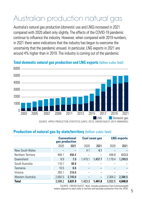# Australian production natural gas

Australia's natural gas production (domestic use and LNG) increased in 2021 compared with 2020 albeit only slightly. The effects of the COVID-19 pandemic continue to influence the industry. However, when compared with 2019 numbers, in 2021 there were indications that the industry has begun to overcome the uncertainty that the pandemic ensued. In particular, LNG exports in 2021 are around 4% higher than in 2019. The industry is coming out of the pandemic.

### **LNG** Domestic gas  $\cap$ 1000  $2000 -$ 3000 4000 5000  $6000$ 2003 2005 2007 2009 2011 2013 2015 2017 2019 2021

#### **Total domestic natural gas production and LNG exports** (billion cubic feet)

SOURCE: APPEA PRODUCTION STATISTICS (UNTIL 2013), ENERGYQUEST (2014 ONWARDS)

#### **Production of natural gas by state/territory** (billion cubic feet)

|                    | <b>Conventional</b><br>gas production |         | <b>Coal seam gas</b> |                          | <b>LNG exports</b> |         |
|--------------------|---------------------------------------|---------|----------------------|--------------------------|--------------------|---------|
|                    | 2020                                  | 2021    | 2020                 | 2021                     | 2020               | 2021    |
| New South Wales    | -                                     |         | 4.1                  | 4.1                      |                    |         |
| Northern Territory | 494.1                                 | 456.4   |                      |                          | 448.8              | 413.3   |
| Queensland         | 8.9                                   | 7.9     | 1.419.1              | 1.437.7                  | 1.179.4            | 1.249.0 |
| South Australia    | 110.1                                 | 98.8    |                      |                          |                    |         |
| Tasmania           | 10.5                                  | 6.6     |                      |                          |                    |         |
| Victoria           | 283.1                                 | 316.6   |                      |                          |                    |         |
| Western Australia  | 2.692.5                               | 2.745.6 |                      | $\overline{\phantom{0}}$ | 2.304.2            | 2.386.5 |
| <b>Total</b>       | 3.599.2                               | 3.631.9 | 1.423.3              | 1.441.8                  | 3.932.5            | 4.048.8 |

SOURCE: ENERGYQUEST. Note: includes production from Commonwealth waters adjacent to each state or territory and excludes production from the JPDA.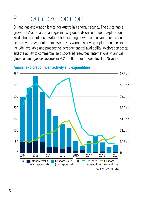# Petroleum exploration

Oil and gas exploration is vital for Australia's energy security. The sustainable growth of Australia's oil and gas industry depends on continuous exploration. Production cannot occur without first locating new resources and these cannot be discovered without drilling wells. Key variables driving exploration decisions include: available and prospective acreage; capital availability; exploration costs; and the ability to commercialise discovered resources. Internationally, annual global oil and gas discoveries in 2021, fell to their lowest level in 75 years.



#### **Annual exploration well activity and expenditure**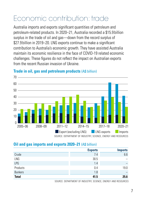# Economic contribution: trade

Australia imports and exports significant quantities of petroleum and petroleum-related products. In 2020–21, Australia recorded a \$15.9 billion surplus in the trade of oil and gas—down from the record surplus of \$27.9 billion in 2019–20. LNG exports continue to make a significant contribution to Australia's economic growth. They have assisted Australia maintain its economic resilience in the face of COVID-19 related economic challenges. These figures do not reflect the impact on Australian exports from the recent Russian invasion of Ukraine.



#### **Trade in oil, gas and petroleum products (A\$ billion)**

SOURCE: DEPARTMENT OF INDUSTRY, SCIENCE, ENERGY AND RESOURCES

#### **Oil and gas imports and exports 2020–21** (A\$ billion)

|                | <b>Exports</b> | <b>Imports</b>    |
|----------------|----------------|-------------------|
| Crude          | 7.4            | 6.6               |
| LNG            | 30.5           | $\equiv$          |
| LPG            | 1.4            | $\qquad \qquad -$ |
| Products       | 0.4            | 19.0              |
| <b>Bunkers</b> | 1.8            | $\qquad \qquad -$ |
| <b>Total</b>   | 41.5           | 25.6              |

SOURCE: DEPARTMENT OF INDUSTRY, SCIENCE, ENERGY AND RESOURCES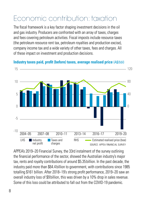# Economic contribution: taxation

The fiscal framework is a key factor shaping investment decisions in the oil and gas industry. Producers are confronted with an array of taxes, charges and fees covering petroleum activities. Fiscal imposts include resource taxes (the petroleum resource rent tax, petroleum royalties and production excise), company income tax and a wide variety of other taxes, fees and charges. All of these impact on investment and production decisions.



**Industry taxes paid, profit (before) taxes, average realised price** (A\$/bbl)

APPEA's 2019–20 Financial Survey, the 33rd instalment of the survey outlining the financial performance of the sector, showed the Australian industry's major tax, rents and royalty contributions of around \$5.35billion. In the past decade, the industry paid more than \$64.4billion to government, with contributions since 1985 totalling \$161 billion. After 2018–19's strong profit performance, 2019–20 saw an overall industry loss of \$9billion, this was driven by a 10% drop in sales revenue. Some of this loss could be attributed to fall out from the COVID-19 pandemic.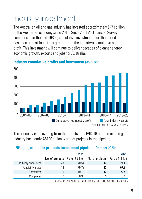# Industry investment

The Australian oil and gas industry has invested approximately \$473 billion in the Australian economy since 2010. Since APPEA's Financial Survey commenced in the mid-1980s, cumulative investment over the period has been almost four times greater than the industry's cumulative net profit. This investment will continue to deliver decades of cleaner energy, economic growth, exports and jobs for Australia.



### **Industry cumulative profits and investment (A\$ billion)**

The economy is recovering from the effects of COVID-19 and the oil and gas industry has nearly A\$120 billion worth of projects in the pipeline.

### **LNG, gas, oil major projects investment pipeline** (October 2020)

|                    |    | 2020                             |                 | 2021             |
|--------------------|----|----------------------------------|-----------------|------------------|
|                    |    | No. of projects Range \$ billion | No. of projects | Range \$ billion |
| Publicly announced | 23 | $40.5+$                          | 12              | $27.1+$          |
| Feasibility stage  | 19 | $75.7+$                          | 13              | $67.8+$          |
| Committed          | 10 | 19.7                             | 12              | 22.4             |
| Completed          |    | 0.9                              | 3               | 0.1              |

SOURCE: DEPARTMENT OF INDUSTRY, SCIENCE, ENERGY AND RESOURCES.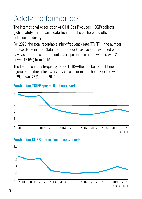# Safety performance

The International Association of Oil & Gas Producers (IOGP) collects global safety performance data from both the onshore and offshore petroleum industry.

For 2020, the total recordable injury frequency rate (TRIFR)—the number of recordable injuries (fatalities + lost work day cases + restricted work day cases + medical treatment cases) per million hours worked was 2.02, down (16.5%) from 2019.

The lost time injury frequency rate (LTIFR)—the number of lost time injuries (fatalities + lost work day cases) per million hours worked was 0.29, down (25%) from 2019.

![](_page_9_Figure_4.jpeg)

### **Australian TRIFR** (per million hours worked)

### **Australian LTIFR** (per million hours worked)

![](_page_9_Figure_7.jpeg)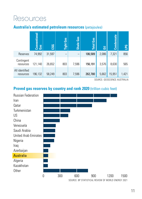## Resources

### **Australia's estimated petroleum resources** (petajoules)

![](_page_10_Figure_2.jpeg)

SOURCE: GEOSCIENCE AUSTRALIA

#### **Proved gas reserves by country and rank 2020** (trillion cubic feet)

![](_page_10_Figure_5.jpeg)